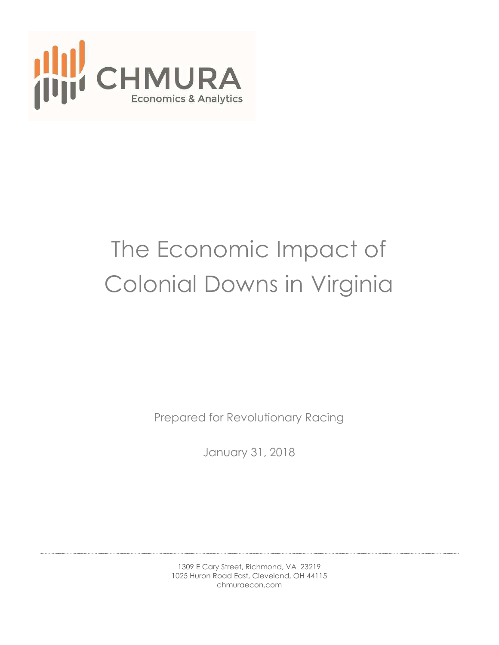

# The Economic Impact of Colonial Downs in Virginia

Prepared for Revolutionary Racing

January 31, 2018

1309 E Cary Street, Richmond, VA 23219 1025 Huron Road East, Cleveland, OH 44115 chmuraecon.com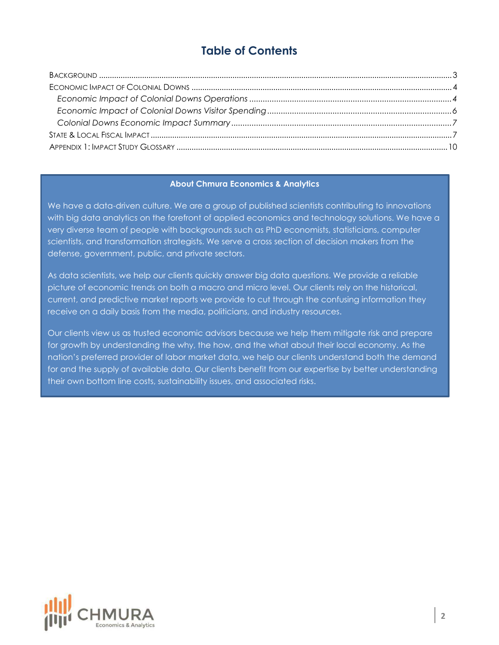# **Table of Contents**

#### **About Chmura Economics & Analytics**

We have a data-driven culture. We are a group of published scientists contributing to innovations with big data analytics on the forefront of applied economics and technology solutions. We have a very diverse team of people with backgrounds such as PhD economists, statisticians, computer scientists, and transformation strategists. We serve a cross section of decision makers from the defense, government, public, and private sectors.

As data scientists, we help our clients quickly answer big data questions. We provide a reliable picture of economic trends on both a macro and micro level. Our clients rely on the historical, current, and predictive market reports we provide to cut through the confusing information they receive on a daily basis from the media, politicians, and industry resources.

Our clients view us as trusted economic advisors because we help them mitigate risk and prepare for growth by understanding the why, the how, and the what about their local economy. As the nation's preferred provider of labor market data, we help our clients understand both the demand for and the supply of available data. Our clients benefit from our expertise by better understanding their own bottom line costs, sustainability issues, and associated risks.

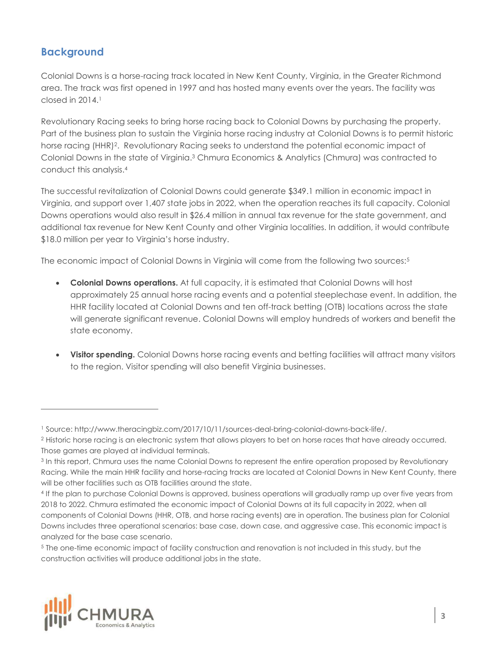## <span id="page-2-0"></span>**Background**

Colonial Downs is a horse-racing track located in New Kent County, Virginia, in the Greater Richmond area. The track was first opened in 1997 and has hosted many events over the years. The facility was  $closed$  in  $2014<sup>1</sup>$ 

Revolutionary Racing seeks to bring horse racing back to Colonial Downs by purchasing the property. Part of the business plan to sustain the Virginia horse racing industry at Colonial Downs is to permit historic horse racing (HHR)<sup>2</sup>. Revolutionary Racing seeks to understand the potential economic impact of Colonial Downs in the state of Virginia.3 Chmura Economics & Analytics (Chmura) was contracted to conduct this analysis.<sup>4</sup>

The successful revitalization of Colonial Downs could generate \$349.1 million in economic impact in Virginia, and support over 1,407 state jobs in 2022, when the operation reaches its full capacity. Colonial Downs operations would also result in \$26.4 million in annual tax revenue for the state government, and additional tax revenue for New Kent County and other Virginia localities. In addition, it would contribute \$18.0 million per year to Virginia's horse industry.

The economic impact of Colonial Downs in Virginia will come from the following two sources:<sup>5</sup>

- **Colonial Downs operations.** At full capacity, it is estimated that Colonial Downs will host approximately 25 annual horse racing events and a potential steeplechase event. In addition, the HHR facility located at Colonial Downs and ten off-track betting (OTB) locations across the state will generate significant revenue. Colonial Downs will employ hundreds of workers and benefit the state economy.
- **Visitor spending.** Colonial Downs horse racing events and betting facilities will attract many visitors to the region. Visitor spending will also benefit Virginia businesses.

<sup>5</sup> The one-time economic impact of facility construction and renovation is not included in this study, but the construction activities will produce additional jobs in the state.



<sup>1</sup> Source: http://www.theracingbiz.com/2017/10/11/sources-deal-bring-colonial-downs-back-life/.

<sup>&</sup>lt;sup>2</sup> Historic horse racing is an electronic system that allows players to bet on horse races that have already occurred. Those games are played at individual terminals.

<sup>&</sup>lt;sup>3</sup> In this report, Chmura uses the name Colonial Downs to represent the entire operation proposed by Revolutionary Racing. While the main HHR facility and horse-racing tracks are located at Colonial Downs in New Kent County, there will be other facilities such as OTB facilities around the state.

<sup>4</sup> If the plan to purchase Colonial Downs is approved, business operations will gradually ramp up over five years from 2018 to 2022. Chmura estimated the economic impact of Colonial Downs at its full capacity in 2022, when all components of Colonial Downs (HHR, OTB, and horse racing events) are in operation. The business plan for Colonial Downs includes three operational scenarios: base case, down case, and aggressive case. This economic impact is analyzed for the base case scenario.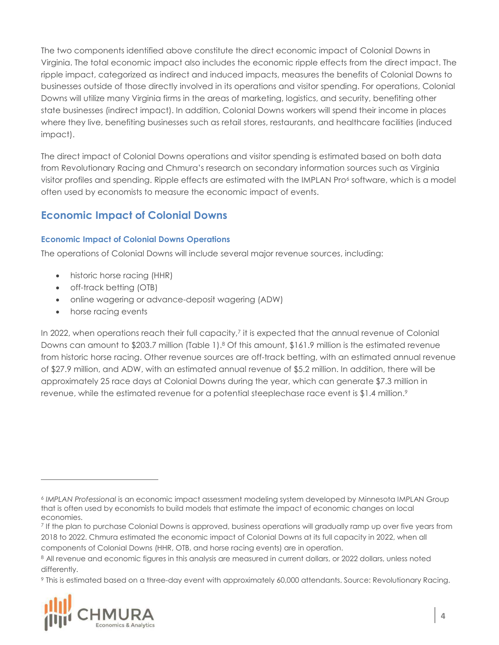The two components identified above constitute the direct economic impact of Colonial Downs in Virginia. The total economic impact also includes the economic ripple effects from the direct impact. The ripple impact, categorized as indirect and induced impacts, measures the benefits of Colonial Downs to businesses outside of those directly involved in its operations and visitor spending. For operations, Colonial Downs will utilize many Virginia firms in the areas of marketing, logistics, and security, benefiting other state businesses (indirect impact). In addition, Colonial Downs workers will spend their income in places where they live, benefiting businesses such as retail stores, restaurants, and healthcare facilities (induced impact).

The direct impact of Colonial Downs operations and visitor spending is estimated based on both data from Revolutionary Racing and Chmura's research on secondary information sources such as Virginia visitor profiles and spending. Ripple effects are estimated with the IMPLAN Pro<sup>6</sup> software, which is a model often used by economists to measure the economic impact of events.

# <span id="page-3-0"></span>**Economic Impact of Colonial Downs**

#### <span id="page-3-1"></span>**Economic Impact of Colonial Downs Operations**

The operations of Colonial Downs will include several major revenue sources, including:

- historic horse racing (HHR)
- off-track betting (OTB)
- online wagering or advance-deposit wagering (ADW)
- horse racing events

In 2022, when operations reach their full capacity,<sup>7</sup> it is expected that the annual revenue of Colonial Downs can amount to \$203.7 million (Table 1).<sup>8</sup> Of this amount, \$161.9 million is the estimated revenue from historic horse racing. Other revenue sources are off-track betting, with an estimated annual revenue of \$27.9 million, and ADW, with an estimated annual revenue of \$5.2 million. In addition, there will be approximately 25 race days at Colonial Downs during the year, which can generate \$7.3 million in revenue, while the estimated revenue for a potential steeplechase race event is \$1.4 million.<sup>9</sup>

<sup>9</sup> This is estimated based on a three-day event with approximately 60,000 attendants. Source: Revolutionary Racing.



<sup>6</sup> *IMPLAN Professional* is an economic impact assessment modeling system developed by Minnesota IMPLAN Group that is often used by economists to build models that estimate the impact of economic changes on local economies.

<sup>7</sup> If the plan to purchase Colonial Downs is approved, business operations will gradually ramp up over five years from 2018 to 2022. Chmura estimated the economic impact of Colonial Downs at its full capacity in 2022, when all components of Colonial Downs (HHR, OTB, and horse racing events) are in operation.

<sup>8</sup> All revenue and economic figures in this analysis are measured in current dollars, or 2022 dollars, unless noted differently.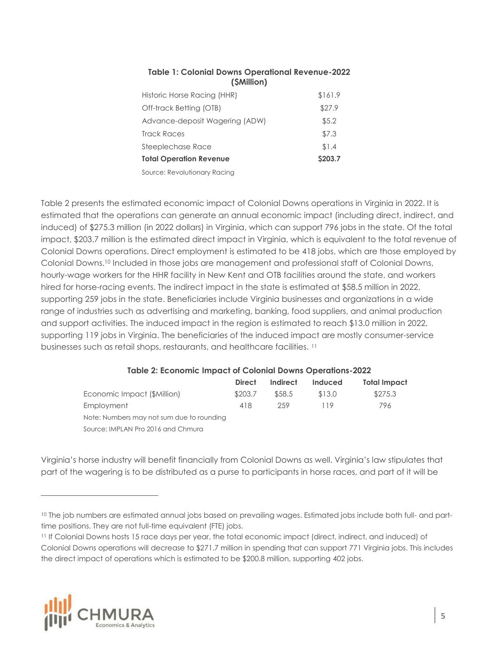| Historic Horse Racing (HHR)    | \$161.9 |
|--------------------------------|---------|
| Off-track Betting (OTB)        | \$27.9  |
| Advance-deposit Wagering (ADW) | \$5.2   |
| <b>Track Races</b>             | \$7.3   |
| Steeplechase Race              | \$1.4   |
| <b>Total Operation Revenue</b> | \$203.7 |
|                                |         |

#### **Table 1: Colonial Downs Operational Revenue-2022 (\$Million)**

Source: Revolutionary Racing

Table 2 presents the estimated economic impact of Colonial Downs operations in Virginia in 2022. It is estimated that the operations can generate an annual economic impact (including direct, indirect, and induced) of \$275.3 million (in 2022 dollars) in Virginia, which can support 796 jobs in the state. Of the total impact, \$203.7 million is the estimated direct impact in Virginia, which is equivalent to the total revenue of Colonial Downs operations. Direct employment is estimated to be 418 jobs, which are those employed by Colonial Downs.10 Included in those jobs are management and professional staff of Colonial Downs, hourly-wage workers for the HHR facility in New Kent and OTB facilities around the state, and workers hired for horse-racing events. The indirect impact in the state is estimated at \$58.5 million in 2022, supporting 259 jobs in the state. Beneficiaries include Virginia businesses and organizations in a wide range of industries such as advertising and marketing, banking, food suppliers, and animal production and support activities. The induced impact in the region is estimated to reach \$13.0 million in 2022, supporting 119 jobs in Virginia. The beneficiaries of the induced impact are mostly consumer-service businesses such as retail shops, restaurants, and healthcare facilities. <sup>11</sup>

#### **Table 2: Economic Impact of Colonial Downs Operations-2022**

|                                           | <b>Direct</b> | Indirect | Induced | Total Impact |
|-------------------------------------------|---------------|----------|---------|--------------|
| Economic Impact (\$Million)               | \$203.7       | \$58.5   | \$13.0  | \$275.3      |
| <b>Employment</b>                         | 418           | 259      | 119     | 796          |
| Note: Numbers may not sum due to rounding |               |          |         |              |
| Source: IMPLAN Pro 2016 and Chmura        |               |          |         |              |

Virginia's horse industry will benefit financially from Colonial Downs as well. Virginia's law stipulates that part of the wagering is to be distributed as a purse to participants in horse races, and part of it will be

<sup>11</sup> If Colonial Downs hosts 15 race days per year, the total economic impact (direct, indirect, and induced) of Colonial Downs operations will decrease to \$271.7 million in spending that can support 771 Virginia jobs. This includes the direct impact of operations which is estimated to be \$200.8 million, supporting 402 jobs.



<sup>&</sup>lt;sup>10</sup> The job numbers are estimated annual jobs based on prevailing wages. Estimated jobs include both full- and parttime positions. They are not full-time equivalent (FTE) jobs.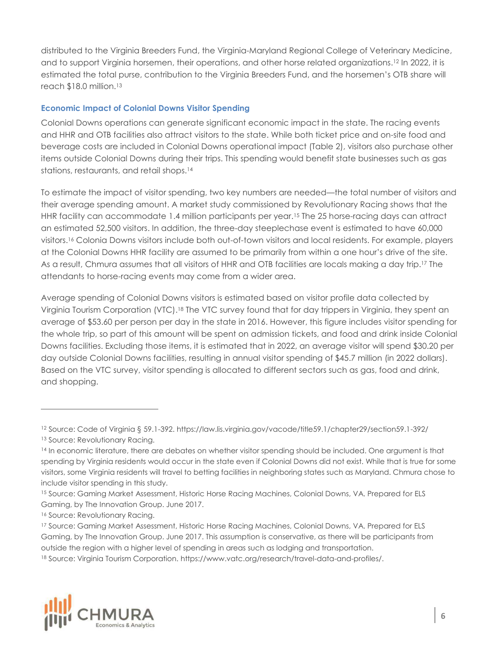distributed to the Virginia Breeders Fund, the Virginia-Maryland Regional College of Veterinary Medicine, and to support Virginia horsemen, their operations, and other horse related organizations.12 In 2022, it is estimated the total purse, contribution to the Virginia Breeders Fund, and the horsemen's OTB share will reach \$18.0 million.<sup>13</sup>

#### <span id="page-5-0"></span>**Economic Impact of Colonial Downs Visitor Spending**

Colonial Downs operations can generate significant economic impact in the state. The racing events and HHR and OTB facilities also attract visitors to the state. While both ticket price and on-site food and beverage costs are included in Colonial Downs operational impact (Table 2), visitors also purchase other items outside Colonial Downs during their trips. This spending would benefit state businesses such as gas stations, restaurants, and retail shops.<sup>14</sup>

To estimate the impact of visitor spending, two key numbers are needed—the total number of visitors and their average spending amount. A market study commissioned by Revolutionary Racing shows that the HHR facility can accommodate 1.4 million participants per year.15 The 25 horse-racing days can attract an estimated 52,500 visitors. In addition, the three-day steeplechase event is estimated to have 60,000 visitors.16 Colonia Downs visitors include both out-of-town visitors and local residents. For example, players at the Colonial Downs HHR facility are assumed to be primarily from within a one hour's drive of the site. As a result, Chmura assumes that all visitors of HHR and OTB facilities are locals making a day trip.<sup>17</sup> The attendants to horse-racing events may come from a wider area.

Average spending of Colonial Downs visitors is estimated based on visitor profile data collected by Virginia Tourism Corporation (VTC).18 The VTC survey found that for day trippers in Virginia, they spent an average of \$53.60 per person per day in the state in 2016. However, this figure includes visitor spending for the whole trip, so part of this amount will be spent on admission tickets, and food and drink inside Colonial Downs facilities. Excluding those items, it is estimated that in 2022, an average visitor will spend \$30.20 per day outside Colonial Downs facilities, resulting in annual visitor spending of \$45.7 million (in 2022 dollars). Based on the VTC survey, visitor spending is allocated to different sectors such as gas, food and drink, and shopping.

<sup>18</sup> Source: Virginia Tourism Corporation. https://www.vatc.org/research/travel-data-and-profiles/.



<sup>12</sup> Source: Code of Virginia § 59.1-392. https://law.lis.virginia.gov/vacode/title59.1/chapter29/section59.1-392/ <sup>13</sup> Source: Revolutionary Racing.

<sup>&</sup>lt;sup>14</sup> In economic literature, there are debates on whether visitor spending should be included. One argument is that spending by Virginia residents would occur in the state even if Colonial Downs did not exist. While that is true for some visitors, some Virginia residents will travel to betting facilities in neighboring states such as Maryland. Chmura chose to include visitor spending in this study.

<sup>15</sup> Source: Gaming Market Assessment, Historic Horse Racing Machines, Colonial Downs, VA. Prepared for ELS Gaming, by The Innovation Group. June 2017.

<sup>&</sup>lt;sup>16</sup> Source: Revolutionary Racing.

<sup>17</sup> Source: Gaming Market Assessment, Historic Horse Racing Machines, Colonial Downs, VA. Prepared for ELS Gaming, by The Innovation Group. June 2017. This assumption is conservative, as there will be participants from outside the region with a higher level of spending in areas such as lodging and transportation.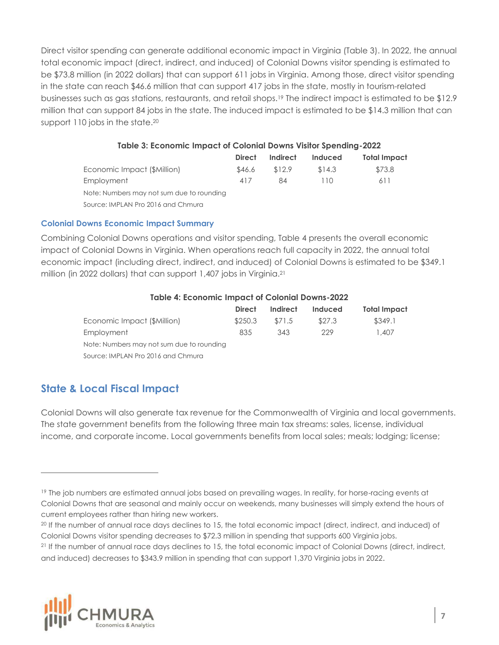Direct visitor spending can generate additional economic impact in Virginia (Table 3). In 2022, the annual total economic impact (direct, indirect, and induced) of Colonial Downs visitor spending is estimated to be \$73.8 million (in 2022 dollars) that can support 611 jobs in Virginia. Among those, direct visitor spending in the state can reach \$46.6 million that can support 417 jobs in the state, mostly in tourism-related businesses such as gas stations, restaurants, and retail shops.19 The indirect impact is estimated to be \$12.9 million that can support 84 jobs in the state. The induced impact is estimated to be \$14.3 million that can support 110 jobs in the state.<sup>20</sup>

#### **Table 3: Economic Impact of Colonial Downs Visitor Spending-2022**

|                                           | <b>Direct</b> | Indirect | <b>Induced</b> | Total Impact |
|-------------------------------------------|---------------|----------|----------------|--------------|
| Economic Impact (\$Million)               | \$46.6        | \$12.9   | \$14.3         | \$73.8       |
| Employment                                | 417           | 84       | 110            | 611          |
| Note: Numbers may not sum due to rounding |               |          |                |              |
| Source: IMPLAN Pro 2016 and Chmura        |               |          |                |              |

#### <span id="page-6-0"></span>**Colonial Downs Economic Impact Summary**

Combining Colonial Downs operations and visitor spending, Table 4 presents the overall economic impact of Colonial Downs in Virginia. When operations reach full capacity in 2022, the annual total economic impact (including direct, indirect, and induced) of Colonial Downs is estimated to be \$349.1 million (in 2022 dollars) that can support 1,407 jobs in Virginia.<sup>21</sup>

#### **Table 4: Economic Impact of Colonial Downs-2022**

|                                           | <b>Direct</b> | Indirect | Induced | Total Impact |
|-------------------------------------------|---------------|----------|---------|--------------|
| Economic Impact (\$Million)               | \$250.3       | \$71.5   | \$27.3  | \$349.1      |
| <b>Employment</b>                         | 835           | 343      | 229     | 1,407        |
| Note: Numbers may not sum due to rounding |               |          |         |              |
| Source: IMPLAN Pro 2016 and Chmura        |               |          |         |              |
|                                           |               |          |         |              |

## <span id="page-6-1"></span>**State & Local Fiscal Impact**

 $\overline{a}$ 

Colonial Downs will also generate tax revenue for the Commonwealth of Virginia and local governments. The state government benefits from the following three main tax streams: sales, license, individual income, and corporate income. Local governments benefits from local sales; meals; lodging; license;

<sup>21</sup> If the number of annual race days declines to 15, the total economic impact of Colonial Downs (direct, indirect, and induced) decreases to \$343.9 million in spending that can support 1,370 Virginia jobs in 2022.



<sup>19</sup> The job numbers are estimated annual jobs based on prevailing wages. In reality, for horse-racing events at Colonial Downs that are seasonal and mainly occur on weekends, many businesses will simply extend the hours of current employees rather than hiring new workers.

<sup>&</sup>lt;sup>20</sup> If the number of annual race days declines to 15, the total economic impact (direct, indirect, and induced) of Colonial Downs visitor spending decreases to \$72.3 million in spending that supports 600 Virginia jobs.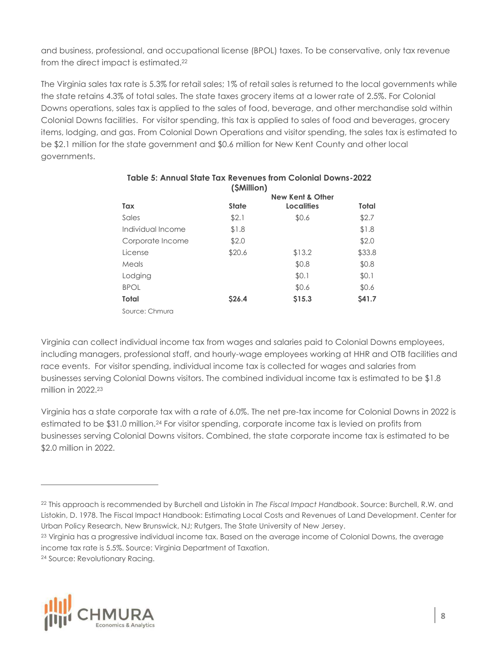and business, professional, and occupational license (BPOL) taxes. To be conservative, only tax revenue from the direct impact is estimated.<sup>22</sup>

The Virginia sales tax rate is 5.3% for retail sales; 1% of retail sales is returned to the local governments while the state retains 4.3% of total sales. The state taxes grocery items at a lower rate of 2.5%. For Colonial Downs operations, sales tax is applied to the sales of food, beverage, and other merchandise sold within Colonial Downs facilities. For visitor spending, this tax is applied to sales of food and beverages, grocery items, lodging, and gas. From Colonial Down Operations and visitor spending, the sales tax is estimated to be \$2.1 million for the state government and \$0.6 million for New Kent County and other local governments.

|                   | (\$Million)  |                   |               |
|-------------------|--------------|-------------------|---------------|
|                   |              |                   |               |
| Tax               | <b>State</b> | <b>Localities</b> | Total         |
| Sales             | \$2.1        | \$0.6             | \$2.7         |
| Individual Income | \$1.8        |                   | \$1.8         |
| Corporate Income  | \$2.0        |                   | \$2.0         |
| License           | \$20.6       | \$13.2            | \$33.8        |
| Meals             |              | \$0.8             | \$0.8         |
| Lodging           |              | \$0.1             | \$0.1         |
| <b>BPOL</b>       |              | \$0.6             | \$0.6         |
| Total             | <b>S26.4</b> | \$15.3            | <b>\$41.7</b> |
| Source: Chmura    |              |                   |               |

### **Table 5: Annual State Tax Revenues from Colonial Downs-2022 (\$Million)**

Virginia can collect individual income tax from wages and salaries paid to Colonial Downs employees, including managers, professional staff, and hourly-wage employees working at HHR and OTB facilities and race events. For visitor spending, individual income tax is collected for wages and salaries from businesses serving Colonial Downs visitors. The combined individual income tax is estimated to be \$1.8 million in 2022 23

Virginia has a state corporate tax with a rate of 6.0%. The net pre-tax income for Colonial Downs in 2022 is estimated to be \$31.0 million.24 For visitor spending, corporate income tax is levied on profits from businesses serving Colonial Downs visitors. Combined, the state corporate income tax is estimated to be \$2.0 million in 2022.



<sup>22</sup> This approach is recommended by Burchell and Listokin in *The Fiscal Impact Handbook*. Source: Burchell, R.W. and Listokin, D. 1978. The Fiscal Impact Handbook: Estimating Local Costs and Revenues of Land Development. Center for Urban Policy Research, New Brunswick, NJ; Rutgers, The State University of New Jersey.

<sup>&</sup>lt;sup>23</sup> Virginia has a progressive individual income tax. Based on the average income of Colonial Downs, the average income tax rate is 5.5%. Source: Virginia Department of Taxation.

<sup>24</sup> Source: Revolutionary Racing.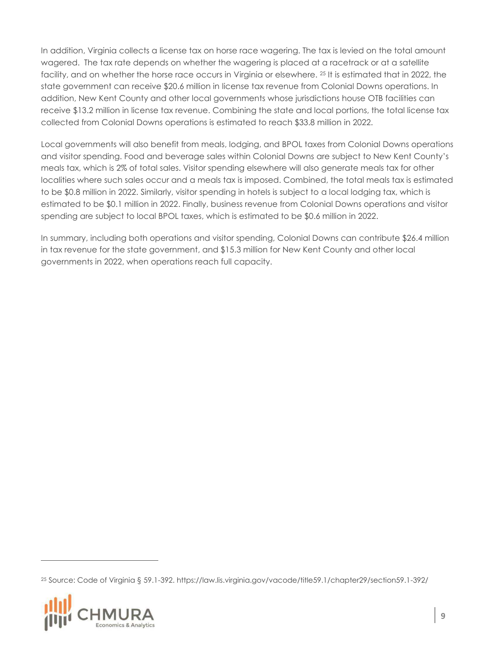In addition, Virginia collects a license tax on horse race wagering. The tax is levied on the total amount wagered. The tax rate depends on whether the wagering is placed at a racetrack or at a satellite facility, and on whether the horse race occurs in Virginia or elsewhere. 25 It is estimated that in 2022, the state government can receive \$20.6 million in license tax revenue from Colonial Downs operations. In addition, New Kent County and other local governments whose jurisdictions house OTB facilities can receive \$13.2 million in license tax revenue. Combining the state and local portions, the total license tax collected from Colonial Downs operations is estimated to reach \$33.8 million in 2022.

Local governments will also benefit from meals, lodging, and BPOL taxes from Colonial Downs operations and visitor spending. Food and beverage sales within Colonial Downs are subject to New Kent County's meals tax, which is 2% of total sales. Visitor spending elsewhere will also generate meals tax for other localities where such sales occur and a meals tax is imposed. Combined, the total meals tax is estimated to be \$0.8 million in 2022. Similarly, visitor spending in hotels is subject to a local lodging tax, which is estimated to be \$0.1 million in 2022. Finally, business revenue from Colonial Downs operations and visitor spending are subject to local BPOL taxes, which is estimated to be \$0.6 million in 2022.

In summary, including both operations and visitor spending, Colonial Downs can contribute \$26.4 million in tax revenue for the state government, and \$15.3 million for New Kent County and other local governments in 2022, when operations reach full capacity.

25 Source: Code of Virginia § 59.1-392. https://law.lis.virginia.gov/vacode/title59.1/chapter29/section59.1-392/